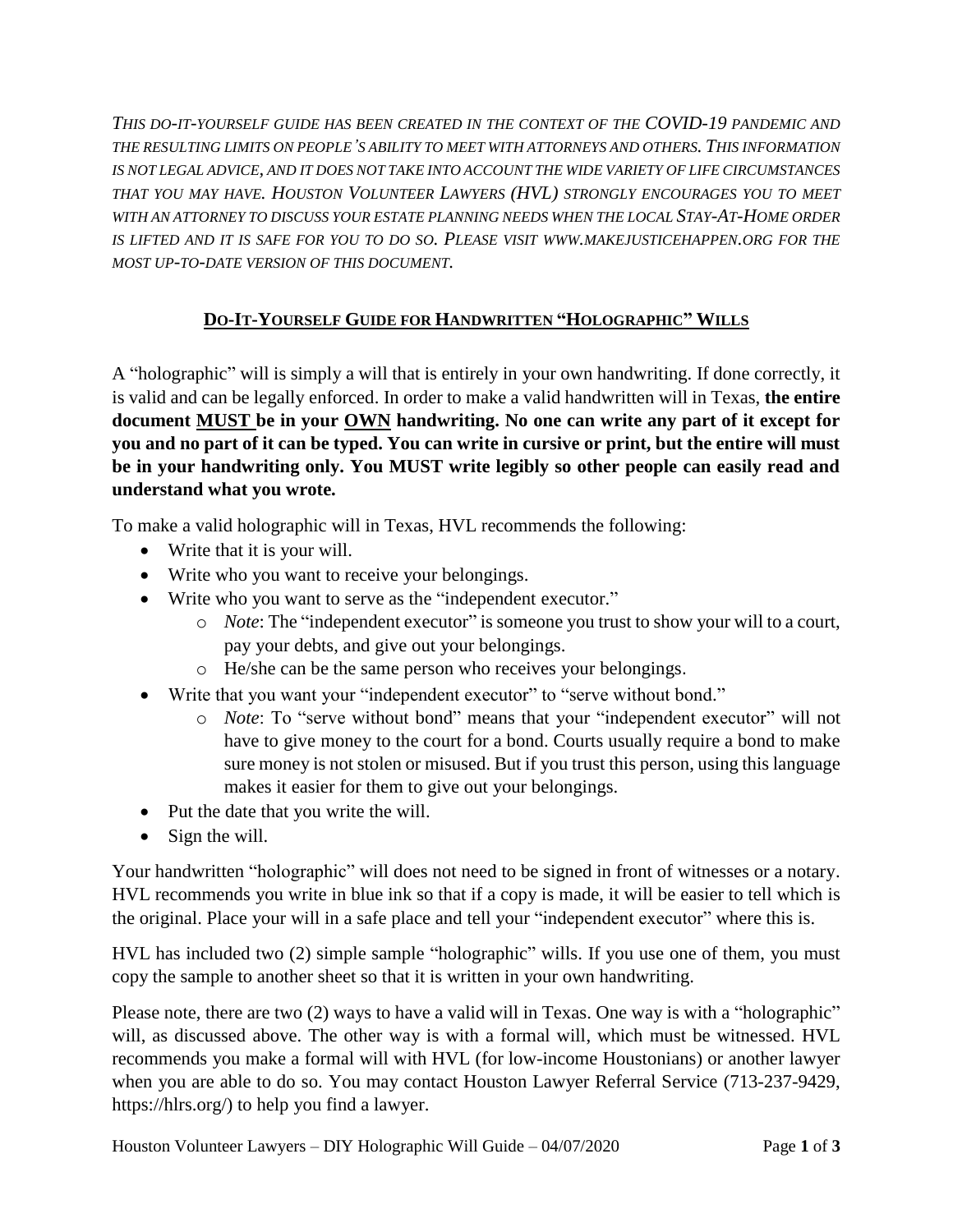*THIS DO-IT-YOURSELF GUIDE HAS BEEN CREATED IN THE CONTEXT OF THE COVID-19 PANDEMIC AND THE RESULTING LIMITS ON PEOPLE'S ABILITY TO MEET WITH ATTORNEYS AND OTHERS. THIS INFORMATION IS NOT LEGAL ADVICE, AND IT DOES NOT TAKE INTO ACCOUNT THE WIDE VARIETY OF LIFE CIRCUMSTANCES THAT YOU MAY HAVE. HOUSTON VOLUNTEER LAWYERS (HVL) STRONGLY ENCOURAGES YOU TO MEET WITH AN ATTORNEY TO DISCUSS YOUR ESTATE PLANNING NEEDS WHEN THE LOCAL STAY-AT-HOME ORDER IS LIFTED AND IT IS SAFE FOR YOU TO DO SO. PLEASE VISIT WWW.MAKEJUSTICEHAPPEN.ORG FOR THE MOST UP-TO-DATE VERSION OF THIS DOCUMENT.*

# **DO-IT-YOURSELF GUIDE FOR HANDWRITTEN "HOLOGRAPHIC" WILLS**

A "holographic" will is simply a will that is entirely in your own handwriting. If done correctly, it is valid and can be legally enforced. In order to make a valid handwritten will in Texas, **the entire document MUST be in your OWN handwriting. No one can write any part of it except for you and no part of it can be typed. You can write in cursive or print, but the entire will must be in your handwriting only. You MUST write legibly so other people can easily read and understand what you wrote.** 

To make a valid holographic will in Texas, HVL recommends the following:

- Write that it is your will.
- Write who you want to receive your belongings.
- Write who you want to serve as the "independent executor."
	- o *Note*: The "independent executor" is someone you trust to show your will to a court, pay your debts, and give out your belongings.
	- o He/she can be the same person who receives your belongings.
- Write that you want your "independent executor" to "serve without bond."
	- o *Note*: To "serve without bond" means that your "independent executor" will not have to give money to the court for a bond. Courts usually require a bond to make sure money is not stolen or misused. But if you trust this person, using this language makes it easier for them to give out your belongings.
- Put the date that you write the will.
- Sign the will.

Your handwritten "holographic" will does not need to be signed in front of witnesses or a notary. HVL recommends you write in blue ink so that if a copy is made, it will be easier to tell which is the original. Place your will in a safe place and tell your "independent executor" where this is.

HVL has included two (2) simple sample "holographic" wills. If you use one of them, you must copy the sample to another sheet so that it is written in your own handwriting.

Please note, there are two (2) ways to have a valid will in Texas. One way is with a "holographic" will, as discussed above. The other way is with a formal will, which must be witnessed. HVL recommends you make a formal will with HVL (for low-income Houstonians) or another lawyer when you are able to do so. You may contact Houston Lawyer Referral Service (713-237-9429, https://hlrs.org/) to help you find a lawyer.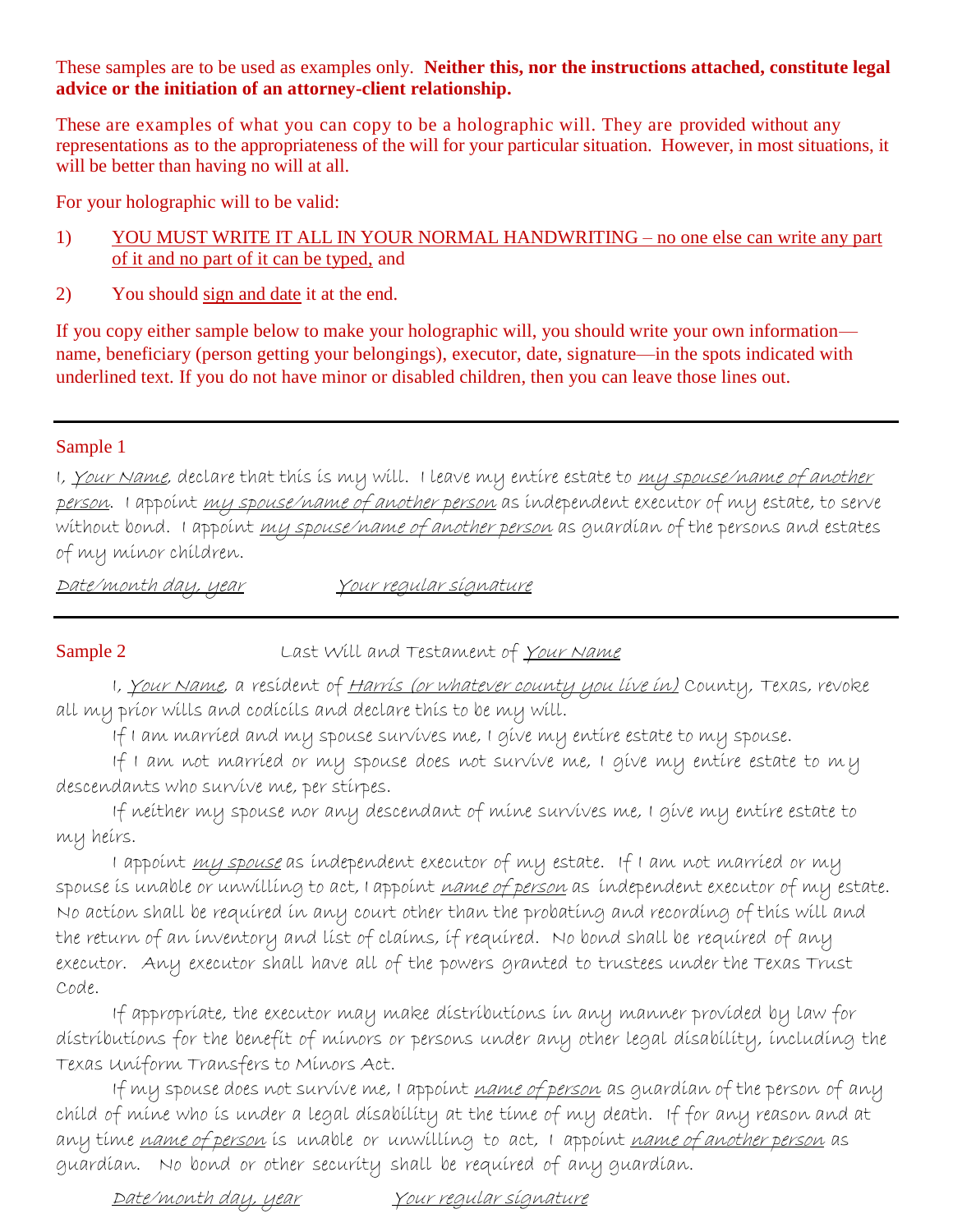These samples are to be used as examples only. **Neither this, nor the instructions attached, constitute legal advice or the initiation of an attorney-client relationship.**

These are examples of what you can copy to be a holographic will. They are provided without any representations as to the appropriateness of the will for your particular situation. However, in most situations, it will be better than having no will at all.

For your holographic will to be valid:

### 1) YOU MUST WRITE IT ALL IN YOUR NORMAL HANDWRITING – no one else can write any part of it and no part of it can be typed, and

2) You should sign and date it at the end.

If you copy either sample below to make your holographic will, you should write your own information name, beneficiary (person getting your belongings), executor, date, signature—in the spots indicated with underlined text. If you do not have minor or disabled children, then you can leave those lines out.

# Sample 1

I, <u>Your Name</u>, declare that this is my will. I leave my entire estate to <u>my spouse/name of another</u> person. I appoint my spouse/name of another person as independent executor of my estate, to serve without bond. I appoint *my spouse/name of another person* as guardian of the persons and estates of my minor children.

Date/month day, year Your regular signature

Sample 2 Last Will and Testament of Your Name

I, Your Name, a resident of Harris (or whatever county you live in) County, Texas, revoke all my prior wills and codicils and declare this to be my will.

If I am married and my spouse survives me, I give my entire estate to my spouse.

If I am not married or my spouse does not survive me, I give my entire estate to my descendants who survive me, per stirpes.

If neither my spouse nor any descendant of mine survives me, I give my entire estate to my heirs.

I appoint *my spouse* as independent executor of my estate. If I am not married or my spouse is unable or unwilling to act, I appoint name of person as independent executor of my estate. No action shall be required in any court other than the probating and recording of this will and the return of an inventory and list of claims, if required. No bond shall be required of any executor. Any executor shall have all of the powers granted to trustees under the Texas Trust Code.

If appropriate, the executor may make distributions in any manner provided by law for distributions for the benefit of minors or persons under any other legal disability, including the Texas Uniform Transfers to Minors Act.

If my spouse does not survive me, I appoint name of person as guardian of the person of any child of mine who is under a legal disability at the time of my death. If for any reason and at any time name of person is unable or unwilling to act, I appoint name of another person as guardian. No bond or other security shall be required of any guardian.

Date/month day, year Your regular signature